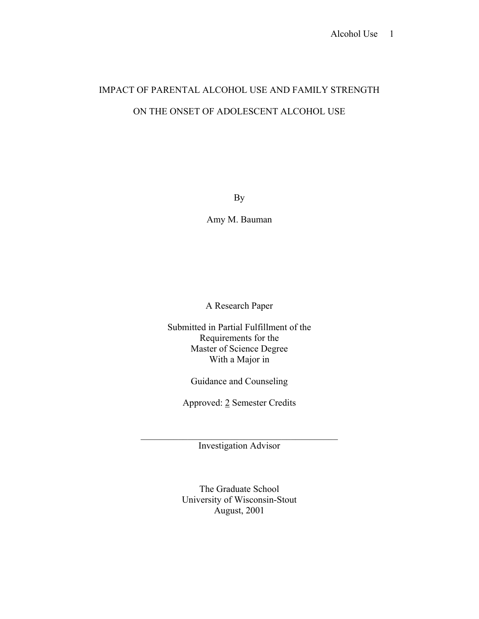# IMPACT OF PARENTAL ALCOHOL USE AND FAMILY STRENGTH ON THE ONSET OF ADOLESCENT ALCOHOL USE

By

Amy M. Bauman

A Research Paper

Submitted in Partial Fulfillment of the Requirements for the Master of Science Degree With a Major in

Guidance and Counseling

Approved: 2 Semester Credits

 $\mathcal{L}_\mathcal{L} = \mathcal{L}_\mathcal{L} = \mathcal{L}_\mathcal{L} = \mathcal{L}_\mathcal{L} = \mathcal{L}_\mathcal{L} = \mathcal{L}_\mathcal{L} = \mathcal{L}_\mathcal{L} = \mathcal{L}_\mathcal{L} = \mathcal{L}_\mathcal{L} = \mathcal{L}_\mathcal{L} = \mathcal{L}_\mathcal{L} = \mathcal{L}_\mathcal{L} = \mathcal{L}_\mathcal{L} = \mathcal{L}_\mathcal{L} = \mathcal{L}_\mathcal{L} = \mathcal{L}_\mathcal{L} = \mathcal{L}_\mathcal{L}$ Investigation Advisor

> The Graduate School University of Wisconsin-Stout August, 2001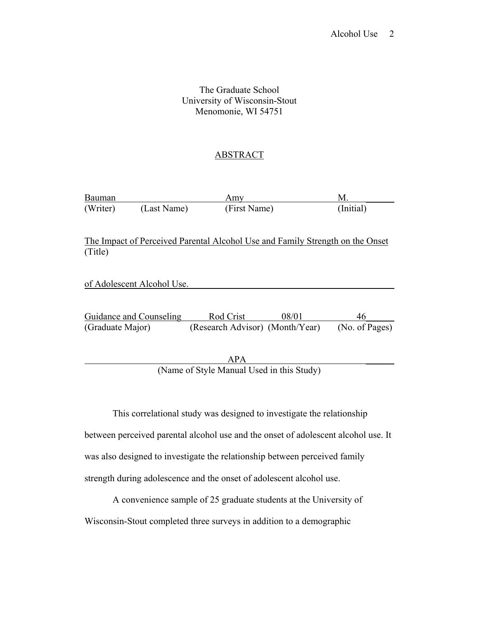# The Graduate School University of Wisconsin-Stout Menomonie, WI 54751

# ABSTRACT

| Bauman   |             | Amy          |           |
|----------|-------------|--------------|-----------|
| (Writer) | (Last Name) | (First Name) | (Initial) |

The Impact of Perceived Parental Alcohol Use and Family Strength on the Onset (Title)

of Adolescent Alcohol Use.

Guidance and Counseling Rod Crist 08/01 46 (Graduate Major) (Research Advisor) (Month/Year) (No. of Pages)

 $APA$ (Name of Style Manual Used in this Study)

 This correlational study was designed to investigate the relationship between perceived parental alcohol use and the onset of adolescent alcohol use. It was also designed to investigate the relationship between perceived family strength during adolescence and the onset of adolescent alcohol use.

 A convenience sample of 25 graduate students at the University of Wisconsin-Stout completed three surveys in addition to a demographic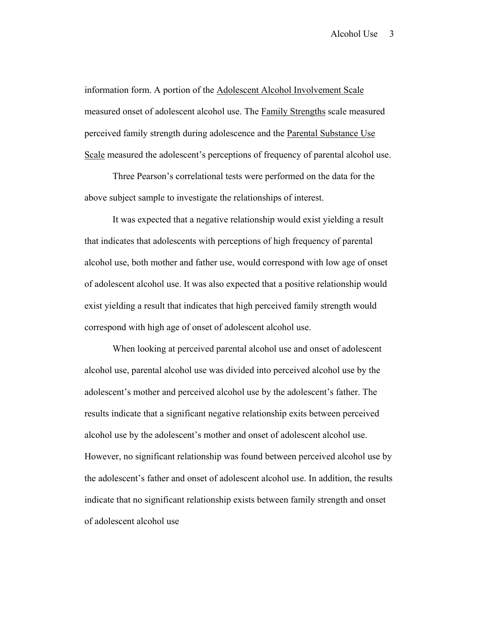information form. A portion of the Adolescent Alcohol Involvement Scale measured onset of adolescent alcohol use. The Family Strengths scale measured perceived family strength during adolescence and the Parental Substance Use Scale measured the adolescent's perceptions of frequency of parental alcohol use.

 Three Pearson's correlational tests were performed on the data for the above subject sample to investigate the relationships of interest.

 It was expected that a negative relationship would exist yielding a result that indicates that adolescents with perceptions of high frequency of parental alcohol use, both mother and father use, would correspond with low age of onset of adolescent alcohol use. It was also expected that a positive relationship would exist yielding a result that indicates that high perceived family strength would correspond with high age of onset of adolescent alcohol use.

 When looking at perceived parental alcohol use and onset of adolescent alcohol use, parental alcohol use was divided into perceived alcohol use by the adolescent's mother and perceived alcohol use by the adolescent's father. The results indicate that a significant negative relationship exits between perceived alcohol use by the adolescent's mother and onset of adolescent alcohol use. However, no significant relationship was found between perceived alcohol use by the adolescent's father and onset of adolescent alcohol use. In addition, the results indicate that no significant relationship exists between family strength and onset of adolescent alcohol use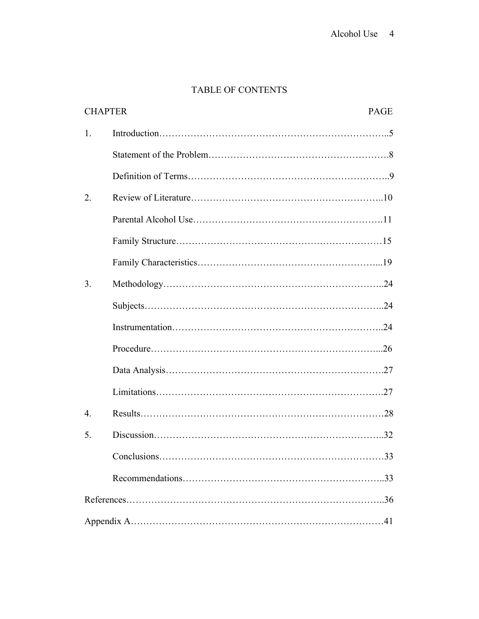# TABLE OF CONTENTS

| <b>CHAPTER</b>   |                         | <b>PAGE</b> |  |  |
|------------------|-------------------------|-------------|--|--|
| 1.               |                         |             |  |  |
|                  |                         |             |  |  |
|                  |                         |             |  |  |
| 2.               |                         |             |  |  |
|                  |                         |             |  |  |
|                  |                         |             |  |  |
|                  |                         |             |  |  |
| 3.               |                         |             |  |  |
|                  |                         |             |  |  |
|                  |                         |             |  |  |
|                  |                         |             |  |  |
|                  |                         |             |  |  |
|                  |                         |             |  |  |
| $\overline{4}$ . |                         |             |  |  |
| 5.               |                         |             |  |  |
|                  | $Conclusions. \dots 33$ |             |  |  |
|                  |                         |             |  |  |
|                  |                         |             |  |  |
|                  |                         |             |  |  |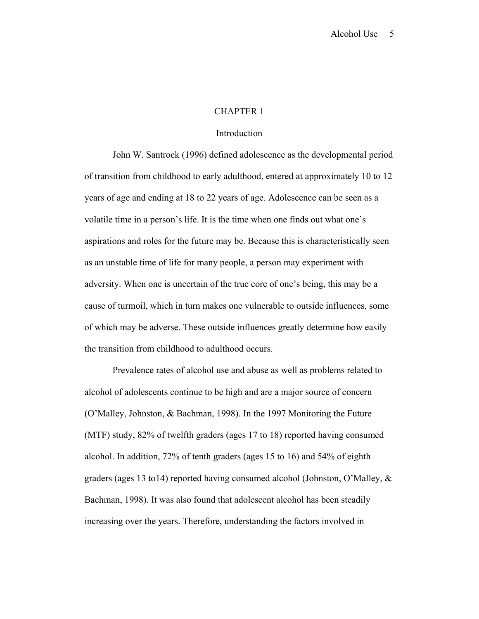#### CHAPTER 1

#### Introduction

 John W. Santrock (1996) defined adolescence as the developmental period of transition from childhood to early adulthood, entered at approximately 10 to 12 years of age and ending at 18 to 22 years of age. Adolescence can be seen as a volatile time in a person's life. It is the time when one finds out what one's aspirations and roles for the future may be. Because this is characteristically seen as an unstable time of life for many people, a person may experiment with adversity. When one is uncertain of the true core of one's being, this may be a cause of turmoil, which in turn makes one vulnerable to outside influences, some of which may be adverse. These outside influences greatly determine how easily the transition from childhood to adulthood occurs.

 Prevalence rates of alcohol use and abuse as well as problems related to alcohol of adolescents continue to be high and are a major source of concern (O'Malley, Johnston, & Bachman, 1998). In the 1997 Monitoring the Future (MTF) study, 82% of twelfth graders (ages 17 to 18) reported having consumed alcohol. In addition, 72% of tenth graders (ages 15 to 16) and 54% of eighth graders (ages 13 to14) reported having consumed alcohol (Johnston, O'Malley, & Bachman, 1998). It was also found that adolescent alcohol has been steadily increasing over the years. Therefore, understanding the factors involved in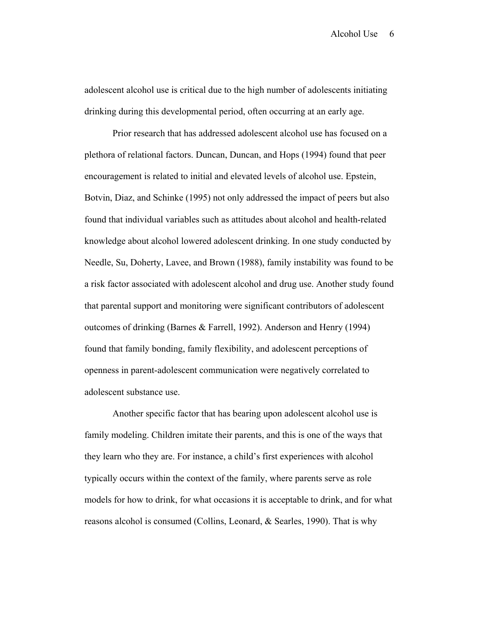adolescent alcohol use is critical due to the high number of adolescents initiating drinking during this developmental period, often occurring at an early age.

 Prior research that has addressed adolescent alcohol use has focused on a plethora of relational factors. Duncan, Duncan, and Hops (1994) found that peer encouragement is related to initial and elevated levels of alcohol use. Epstein, Botvin, Diaz, and Schinke (1995) not only addressed the impact of peers but also found that individual variables such as attitudes about alcohol and health-related knowledge about alcohol lowered adolescent drinking. In one study conducted by Needle, Su, Doherty, Lavee, and Brown (1988), family instability was found to be a risk factor associated with adolescent alcohol and drug use. Another study found that parental support and monitoring were significant contributors of adolescent outcomes of drinking (Barnes & Farrell, 1992). Anderson and Henry (1994) found that family bonding, family flexibility, and adolescent perceptions of openness in parent-adolescent communication were negatively correlated to adolescent substance use.

 Another specific factor that has bearing upon adolescent alcohol use is family modeling. Children imitate their parents, and this is one of the ways that they learn who they are. For instance, a child's first experiences with alcohol typically occurs within the context of the family, where parents serve as role models for how to drink, for what occasions it is acceptable to drink, and for what reasons alcohol is consumed (Collins, Leonard, & Searles, 1990). That is why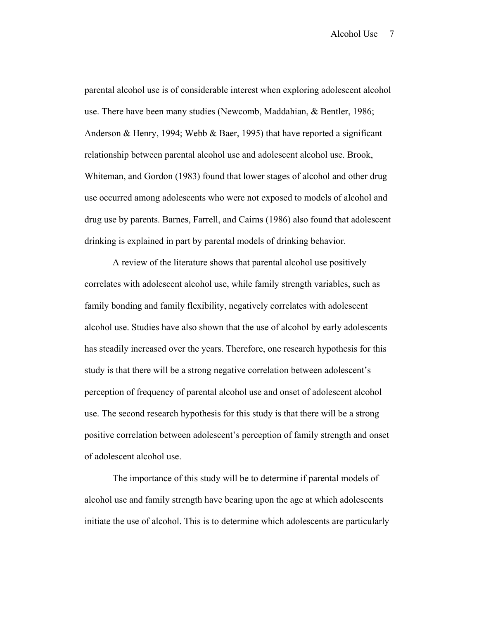parental alcohol use is of considerable interest when exploring adolescent alcohol use. There have been many studies (Newcomb, Maddahian, & Bentler, 1986; Anderson & Henry, 1994; Webb & Baer, 1995) that have reported a significant relationship between parental alcohol use and adolescent alcohol use. Brook, Whiteman, and Gordon (1983) found that lower stages of alcohol and other drug use occurred among adolescents who were not exposed to models of alcohol and drug use by parents. Barnes, Farrell, and Cairns (1986) also found that adolescent drinking is explained in part by parental models of drinking behavior.

 A review of the literature shows that parental alcohol use positively correlates with adolescent alcohol use, while family strength variables, such as family bonding and family flexibility, negatively correlates with adolescent alcohol use. Studies have also shown that the use of alcohol by early adolescents has steadily increased over the years. Therefore, one research hypothesis for this study is that there will be a strong negative correlation between adolescent's perception of frequency of parental alcohol use and onset of adolescent alcohol use. The second research hypothesis for this study is that there will be a strong positive correlation between adolescent's perception of family strength and onset of adolescent alcohol use.

 The importance of this study will be to determine if parental models of alcohol use and family strength have bearing upon the age at which adolescents initiate the use of alcohol. This is to determine which adolescents are particularly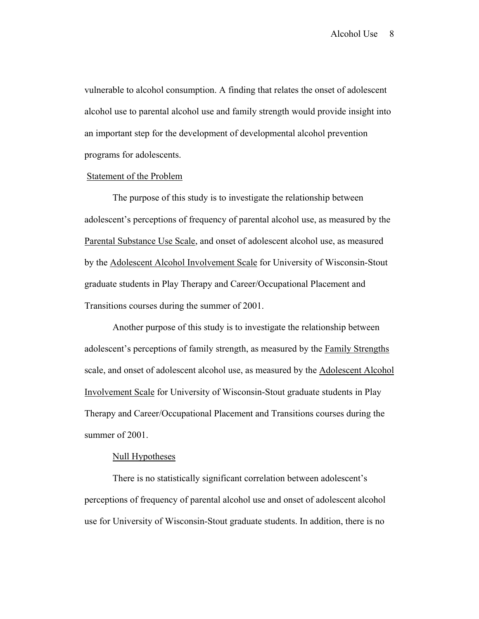vulnerable to alcohol consumption. A finding that relates the onset of adolescent alcohol use to parental alcohol use and family strength would provide insight into an important step for the development of developmental alcohol prevention programs for adolescents.

#### Statement of the Problem

 The purpose of this study is to investigate the relationship between adolescent's perceptions of frequency of parental alcohol use, as measured by the Parental Substance Use Scale, and onset of adolescent alcohol use, as measured by the Adolescent Alcohol Involvement Scale for University of Wisconsin-Stout graduate students in Play Therapy and Career/Occupational Placement and Transitions courses during the summer of 2001.

 Another purpose of this study is to investigate the relationship between adolescent's perceptions of family strength, as measured by the Family Strengths scale, and onset of adolescent alcohol use, as measured by the Adolescent Alcohol Involvement Scale for University of Wisconsin-Stout graduate students in Play Therapy and Career/Occupational Placement and Transitions courses during the summer of 2001.

#### Null Hypotheses

There is no statistically significant correlation between adolescent's perceptions of frequency of parental alcohol use and onset of adolescent alcohol use for University of Wisconsin-Stout graduate students. In addition, there is no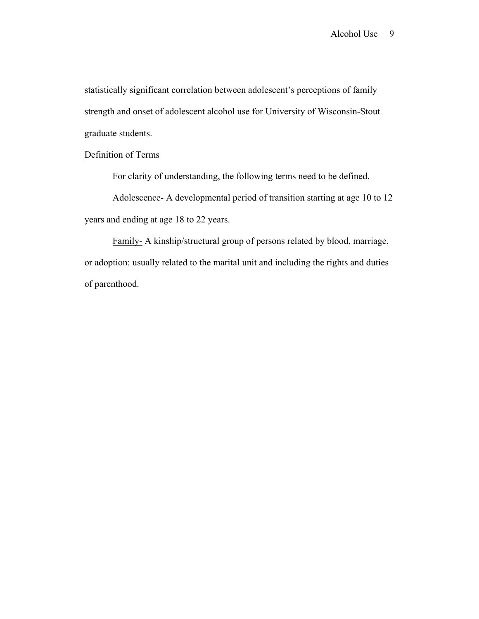statistically significant correlation between adolescent's perceptions of family strength and onset of adolescent alcohol use for University of Wisconsin-Stout graduate students.

# Definition of Terms

For clarity of understanding, the following terms need to be defined.

Adolescence- A developmental period of transition starting at age 10 to 12 years and ending at age 18 to 22 years.

Family- A kinship/structural group of persons related by blood, marriage, or adoption: usually related to the marital unit and including the rights and duties of parenthood.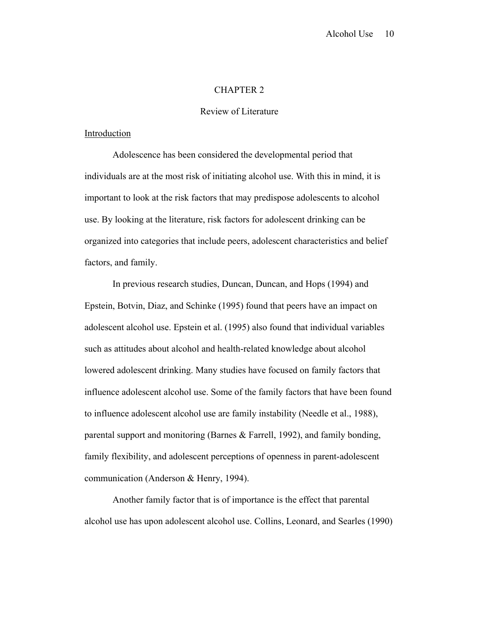### CHAPTER 2

### Review of Literature

#### Introduction

 Adolescence has been considered the developmental period that individuals are at the most risk of initiating alcohol use. With this in mind, it is important to look at the risk factors that may predispose adolescents to alcohol use. By looking at the literature, risk factors for adolescent drinking can be organized into categories that include peers, adolescent characteristics and belief factors, and family.

 In previous research studies, Duncan, Duncan, and Hops (1994) and Epstein, Botvin, Diaz, and Schinke (1995) found that peers have an impact on adolescent alcohol use. Epstein et al. (1995) also found that individual variables such as attitudes about alcohol and health-related knowledge about alcohol lowered adolescent drinking. Many studies have focused on family factors that influence adolescent alcohol use. Some of the family factors that have been found to influence adolescent alcohol use are family instability (Needle et al., 1988), parental support and monitoring (Barnes & Farrell, 1992), and family bonding, family flexibility, and adolescent perceptions of openness in parent-adolescent communication (Anderson & Henry, 1994).

 Another family factor that is of importance is the effect that parental alcohol use has upon adolescent alcohol use. Collins, Leonard, and Searles (1990)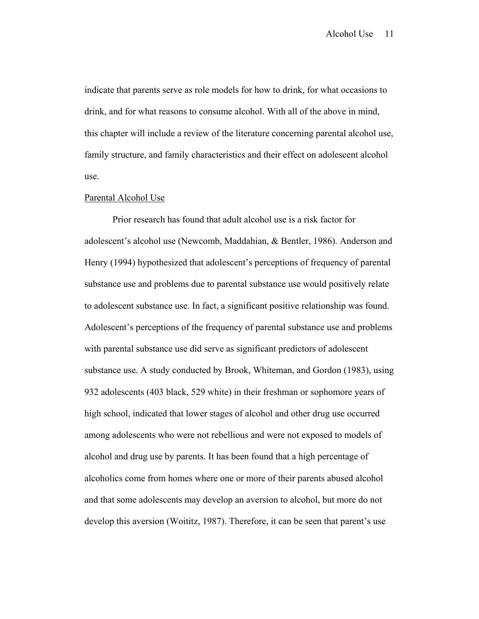indicate that parents serve as role models for how to drink, for what occasions to drink, and for what reasons to consume alcohol. With all of the above in mind, this chapter will include a review of the literature concerning parental alcohol use, family structure, and family characteristics and their effect on adolescent alcohol use.

#### Parental Alcohol Use

 Prior research has found that adult alcohol use is a risk factor for adolescent's alcohol use (Newcomb, Maddahian, & Bentler, 1986). Anderson and Henry (1994) hypothesized that adolescent's perceptions of frequency of parental substance use and problems due to parental substance use would positively relate to adolescent substance use. In fact, a significant positive relationship was found. Adolescent's perceptions of the frequency of parental substance use and problems with parental substance use did serve as significant predictors of adolescent substance use. A study conducted by Brook, Whiteman, and Gordon (1983), using 932 adolescents (403 black, 529 white) in their freshman or sophomore years of high school, indicated that lower stages of alcohol and other drug use occurred among adolescents who were not rebellious and were not exposed to models of alcohol and drug use by parents. It has been found that a high percentage of alcoholics come from homes where one or more of their parents abused alcohol and that some adolescents may develop an aversion to alcohol, but more do not develop this aversion (Woititz, 1987). Therefore, it can be seen that parent's use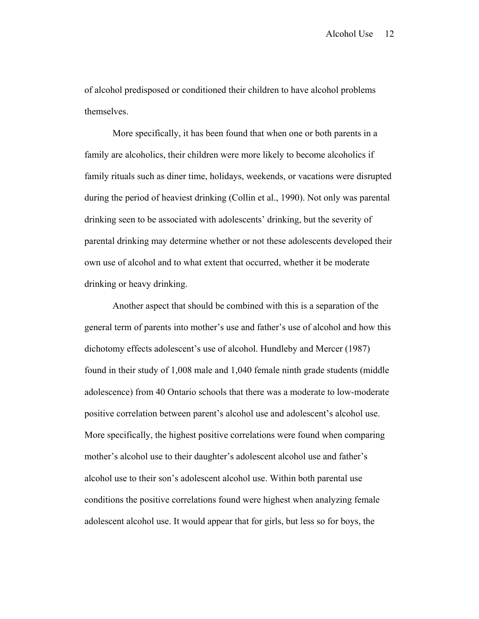of alcohol predisposed or conditioned their children to have alcohol problems themselves.

 More specifically, it has been found that when one or both parents in a family are alcoholics, their children were more likely to become alcoholics if family rituals such as diner time, holidays, weekends, or vacations were disrupted during the period of heaviest drinking (Collin et al., 1990). Not only was parental drinking seen to be associated with adolescents' drinking, but the severity of parental drinking may determine whether or not these adolescents developed their own use of alcohol and to what extent that occurred, whether it be moderate drinking or heavy drinking.

 Another aspect that should be combined with this is a separation of the general term of parents into mother's use and father's use of alcohol and how this dichotomy effects adolescent's use of alcohol. Hundleby and Mercer (1987) found in their study of 1,008 male and 1,040 female ninth grade students (middle adolescence) from 40 Ontario schools that there was a moderate to low-moderate positive correlation between parent's alcohol use and adolescent's alcohol use. More specifically, the highest positive correlations were found when comparing mother's alcohol use to their daughter's adolescent alcohol use and father's alcohol use to their son's adolescent alcohol use. Within both parental use conditions the positive correlations found were highest when analyzing female adolescent alcohol use. It would appear that for girls, but less so for boys, the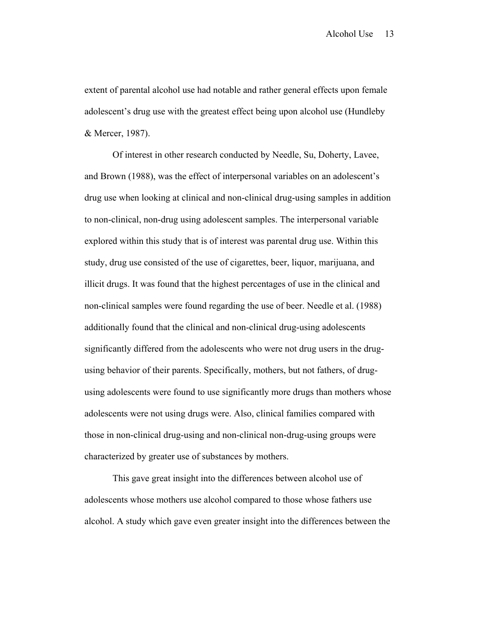extent of parental alcohol use had notable and rather general effects upon female adolescent's drug use with the greatest effect being upon alcohol use (Hundleby & Mercer, 1987).

 Of interest in other research conducted by Needle, Su, Doherty, Lavee, and Brown (1988), was the effect of interpersonal variables on an adolescent's drug use when looking at clinical and non-clinical drug-using samples in addition to non-clinical, non-drug using adolescent samples. The interpersonal variable explored within this study that is of interest was parental drug use. Within this study, drug use consisted of the use of cigarettes, beer, liquor, marijuana, and illicit drugs. It was found that the highest percentages of use in the clinical and non-clinical samples were found regarding the use of beer. Needle et al. (1988) additionally found that the clinical and non-clinical drug-using adolescents significantly differed from the adolescents who were not drug users in the drugusing behavior of their parents. Specifically, mothers, but not fathers, of drugusing adolescents were found to use significantly more drugs than mothers whose adolescents were not using drugs were. Also, clinical families compared with those in non-clinical drug-using and non-clinical non-drug-using groups were characterized by greater use of substances by mothers.

 This gave great insight into the differences between alcohol use of adolescents whose mothers use alcohol compared to those whose fathers use alcohol. A study which gave even greater insight into the differences between the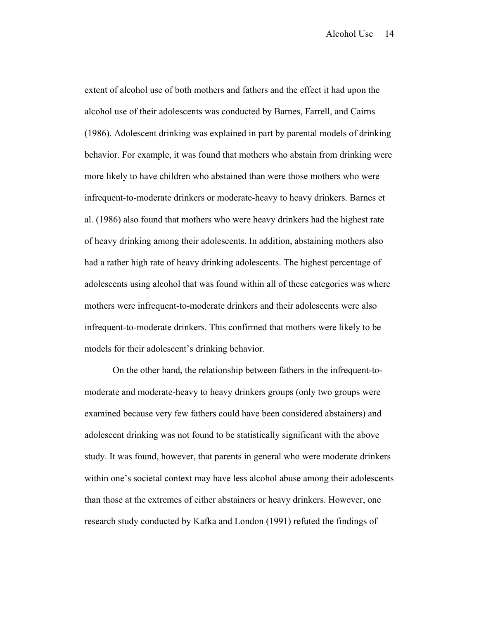extent of alcohol use of both mothers and fathers and the effect it had upon the alcohol use of their adolescents was conducted by Barnes, Farrell, and Cairns (1986). Adolescent drinking was explained in part by parental models of drinking behavior. For example, it was found that mothers who abstain from drinking were more likely to have children who abstained than were those mothers who were infrequent-to-moderate drinkers or moderate-heavy to heavy drinkers. Barnes et al. (1986) also found that mothers who were heavy drinkers had the highest rate of heavy drinking among their adolescents. In addition, abstaining mothers also had a rather high rate of heavy drinking adolescents. The highest percentage of adolescents using alcohol that was found within all of these categories was where mothers were infrequent-to-moderate drinkers and their adolescents were also infrequent-to-moderate drinkers. This confirmed that mothers were likely to be models for their adolescent's drinking behavior.

 On the other hand, the relationship between fathers in the infrequent-tomoderate and moderate-heavy to heavy drinkers groups (only two groups were examined because very few fathers could have been considered abstainers) and adolescent drinking was not found to be statistically significant with the above study. It was found, however, that parents in general who were moderate drinkers within one's societal context may have less alcohol abuse among their adolescents than those at the extremes of either abstainers or heavy drinkers. However, one research study conducted by Kafka and London (1991) refuted the findings of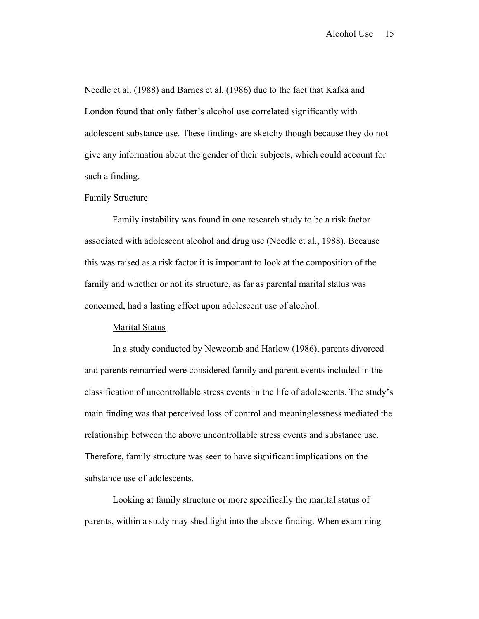Needle et al. (1988) and Barnes et al. (1986) due to the fact that Kafka and London found that only father's alcohol use correlated significantly with adolescent substance use. These findings are sketchy though because they do not give any information about the gender of their subjects, which could account for such a finding.

### Family Structure

 Family instability was found in one research study to be a risk factor associated with adolescent alcohol and drug use (Needle et al., 1988). Because this was raised as a risk factor it is important to look at the composition of the family and whether or not its structure, as far as parental marital status was concerned, had a lasting effect upon adolescent use of alcohol.

#### Marital Status

 In a study conducted by Newcomb and Harlow (1986), parents divorced and parents remarried were considered family and parent events included in the classification of uncontrollable stress events in the life of adolescents. The study's main finding was that perceived loss of control and meaninglessness mediated the relationship between the above uncontrollable stress events and substance use. Therefore, family structure was seen to have significant implications on the substance use of adolescents.

 Looking at family structure or more specifically the marital status of parents, within a study may shed light into the above finding. When examining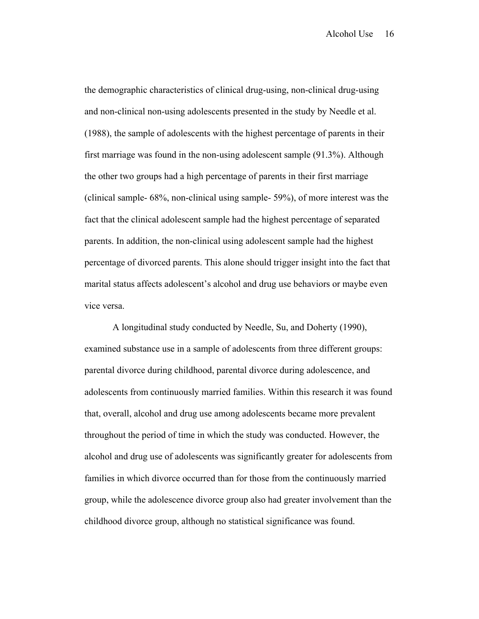the demographic characteristics of clinical drug-using, non-clinical drug-using and non-clinical non-using adolescents presented in the study by Needle et al. (1988), the sample of adolescents with the highest percentage of parents in their first marriage was found in the non-using adolescent sample (91.3%). Although the other two groups had a high percentage of parents in their first marriage (clinical sample- 68%, non-clinical using sample- 59%), of more interest was the fact that the clinical adolescent sample had the highest percentage of separated parents. In addition, the non-clinical using adolescent sample had the highest percentage of divorced parents. This alone should trigger insight into the fact that marital status affects adolescent's alcohol and drug use behaviors or maybe even vice versa.

 A longitudinal study conducted by Needle, Su, and Doherty (1990), examined substance use in a sample of adolescents from three different groups: parental divorce during childhood, parental divorce during adolescence, and adolescents from continuously married families. Within this research it was found that, overall, alcohol and drug use among adolescents became more prevalent throughout the period of time in which the study was conducted. However, the alcohol and drug use of adolescents was significantly greater for adolescents from families in which divorce occurred than for those from the continuously married group, while the adolescence divorce group also had greater involvement than the childhood divorce group, although no statistical significance was found.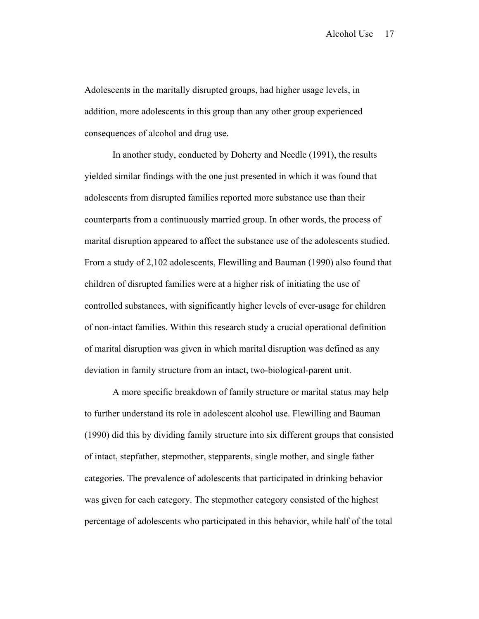Adolescents in the maritally disrupted groups, had higher usage levels, in addition, more adolescents in this group than any other group experienced consequences of alcohol and drug use.

 In another study, conducted by Doherty and Needle (1991), the results yielded similar findings with the one just presented in which it was found that adolescents from disrupted families reported more substance use than their counterparts from a continuously married group. In other words, the process of marital disruption appeared to affect the substance use of the adolescents studied. From a study of 2,102 adolescents, Flewilling and Bauman (1990) also found that children of disrupted families were at a higher risk of initiating the use of controlled substances, with significantly higher levels of ever-usage for children of non-intact families. Within this research study a crucial operational definition of marital disruption was given in which marital disruption was defined as any deviation in family structure from an intact, two-biological-parent unit.

 A more specific breakdown of family structure or marital status may help to further understand its role in adolescent alcohol use. Flewilling and Bauman (1990) did this by dividing family structure into six different groups that consisted of intact, stepfather, stepmother, stepparents, single mother, and single father categories. The prevalence of adolescents that participated in drinking behavior was given for each category. The stepmother category consisted of the highest percentage of adolescents who participated in this behavior, while half of the total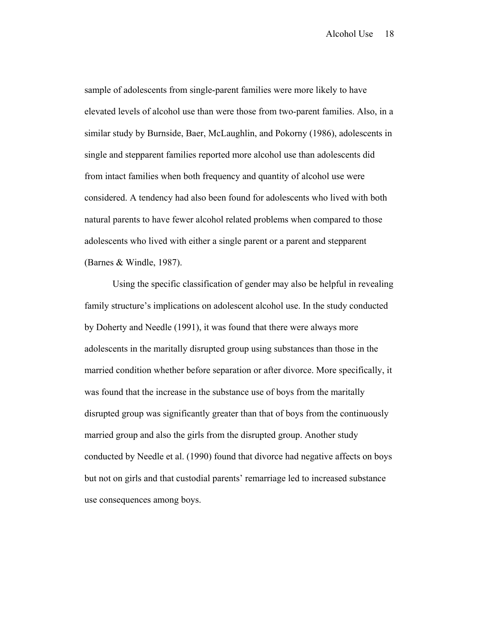sample of adolescents from single-parent families were more likely to have elevated levels of alcohol use than were those from two-parent families. Also, in a similar study by Burnside, Baer, McLaughlin, and Pokorny (1986), adolescents in single and stepparent families reported more alcohol use than adolescents did from intact families when both frequency and quantity of alcohol use were considered. A tendency had also been found for adolescents who lived with both natural parents to have fewer alcohol related problems when compared to those adolescents who lived with either a single parent or a parent and stepparent (Barnes & Windle, 1987).

 Using the specific classification of gender may also be helpful in revealing family structure's implications on adolescent alcohol use. In the study conducted by Doherty and Needle (1991), it was found that there were always more adolescents in the maritally disrupted group using substances than those in the married condition whether before separation or after divorce. More specifically, it was found that the increase in the substance use of boys from the maritally disrupted group was significantly greater than that of boys from the continuously married group and also the girls from the disrupted group. Another study conducted by Needle et al. (1990) found that divorce had negative affects on boys but not on girls and that custodial parents' remarriage led to increased substance use consequences among boys.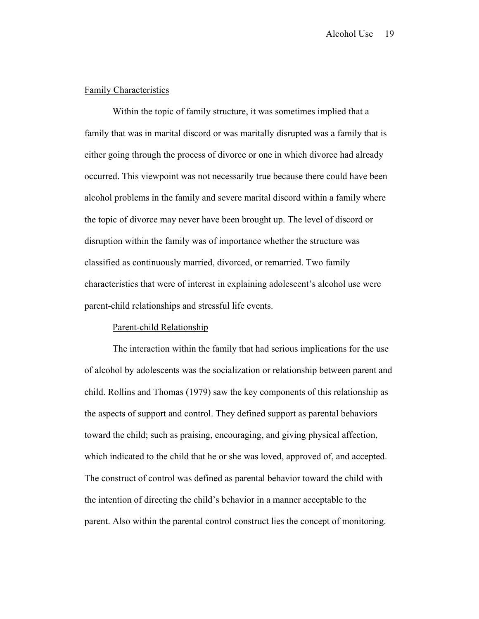### Family Characteristics

 Within the topic of family structure, it was sometimes implied that a family that was in marital discord or was maritally disrupted was a family that is either going through the process of divorce or one in which divorce had already occurred. This viewpoint was not necessarily true because there could have been alcohol problems in the family and severe marital discord within a family where the topic of divorce may never have been brought up. The level of discord or disruption within the family was of importance whether the structure was classified as continuously married, divorced, or remarried. Two family characteristics that were of interest in explaining adolescent's alcohol use were parent-child relationships and stressful life events.

### Parent-child Relationship

 The interaction within the family that had serious implications for the use of alcohol by adolescents was the socialization or relationship between parent and child. Rollins and Thomas (1979) saw the key components of this relationship as the aspects of support and control. They defined support as parental behaviors toward the child; such as praising, encouraging, and giving physical affection, which indicated to the child that he or she was loved, approved of, and accepted. The construct of control was defined as parental behavior toward the child with the intention of directing the child's behavior in a manner acceptable to the parent. Also within the parental control construct lies the concept of monitoring.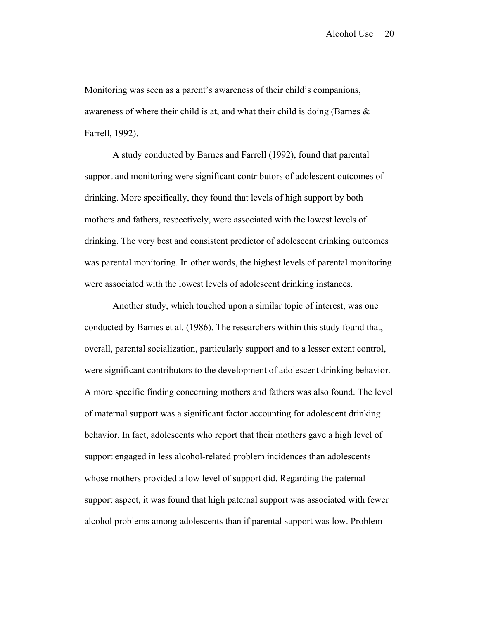Monitoring was seen as a parent's awareness of their child's companions, awareness of where their child is at, and what their child is doing (Barnes & Farrell, 1992).

 A study conducted by Barnes and Farrell (1992), found that parental support and monitoring were significant contributors of adolescent outcomes of drinking. More specifically, they found that levels of high support by both mothers and fathers, respectively, were associated with the lowest levels of drinking. The very best and consistent predictor of adolescent drinking outcomes was parental monitoring. In other words, the highest levels of parental monitoring were associated with the lowest levels of adolescent drinking instances.

 Another study, which touched upon a similar topic of interest, was one conducted by Barnes et al. (1986). The researchers within this study found that, overall, parental socialization, particularly support and to a lesser extent control, were significant contributors to the development of adolescent drinking behavior. A more specific finding concerning mothers and fathers was also found. The level of maternal support was a significant factor accounting for adolescent drinking behavior. In fact, adolescents who report that their mothers gave a high level of support engaged in less alcohol-related problem incidences than adolescents whose mothers provided a low level of support did. Regarding the paternal support aspect, it was found that high paternal support was associated with fewer alcohol problems among adolescents than if parental support was low. Problem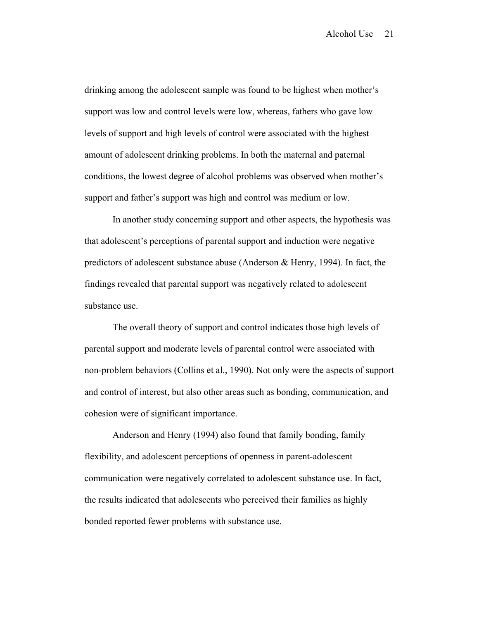drinking among the adolescent sample was found to be highest when mother's support was low and control levels were low, whereas, fathers who gave low levels of support and high levels of control were associated with the highest amount of adolescent drinking problems. In both the maternal and paternal conditions, the lowest degree of alcohol problems was observed when mother's support and father's support was high and control was medium or low.

 In another study concerning support and other aspects, the hypothesis was that adolescent's perceptions of parental support and induction were negative predictors of adolescent substance abuse (Anderson & Henry, 1994). In fact, the findings revealed that parental support was negatively related to adolescent substance use.

 The overall theory of support and control indicates those high levels of parental support and moderate levels of parental control were associated with non-problem behaviors (Collins et al., 1990). Not only were the aspects of support and control of interest, but also other areas such as bonding, communication, and cohesion were of significant importance.

 Anderson and Henry (1994) also found that family bonding, family flexibility, and adolescent perceptions of openness in parent-adolescent communication were negatively correlated to adolescent substance use. In fact, the results indicated that adolescents who perceived their families as highly bonded reported fewer problems with substance use.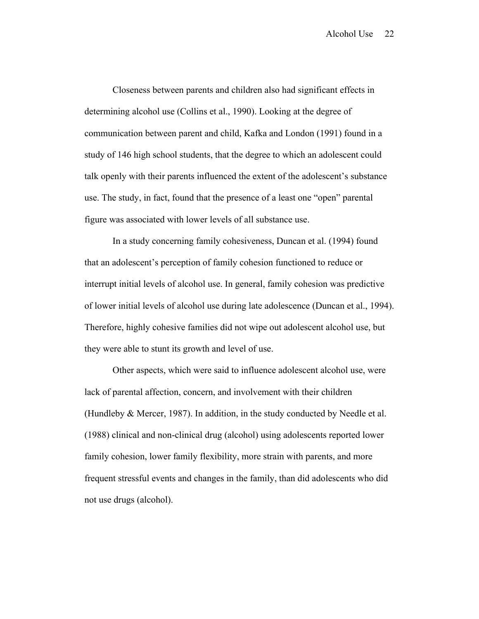Closeness between parents and children also had significant effects in determining alcohol use (Collins et al., 1990). Looking at the degree of communication between parent and child, Kafka and London (1991) found in a study of 146 high school students, that the degree to which an adolescent could talk openly with their parents influenced the extent of the adolescent's substance use. The study, in fact, found that the presence of a least one "open" parental figure was associated with lower levels of all substance use.

 In a study concerning family cohesiveness, Duncan et al. (1994) found that an adolescent's perception of family cohesion functioned to reduce or interrupt initial levels of alcohol use. In general, family cohesion was predictive of lower initial levels of alcohol use during late adolescence (Duncan et al., 1994). Therefore, highly cohesive families did not wipe out adolescent alcohol use, but they were able to stunt its growth and level of use.

 Other aspects, which were said to influence adolescent alcohol use, were lack of parental affection, concern, and involvement with their children (Hundleby & Mercer, 1987). In addition, in the study conducted by Needle et al. (1988) clinical and non-clinical drug (alcohol) using adolescents reported lower family cohesion, lower family flexibility, more strain with parents, and more frequent stressful events and changes in the family, than did adolescents who did not use drugs (alcohol).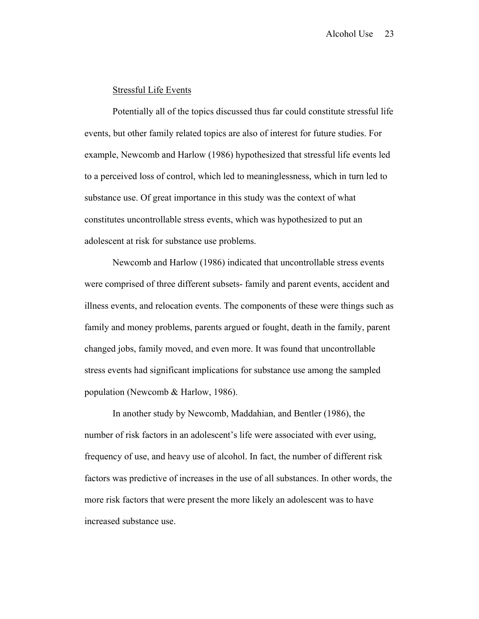# Stressful Life Events

 Potentially all of the topics discussed thus far could constitute stressful life events, but other family related topics are also of interest for future studies. For example, Newcomb and Harlow (1986) hypothesized that stressful life events led to a perceived loss of control, which led to meaninglessness, which in turn led to substance use. Of great importance in this study was the context of what constitutes uncontrollable stress events, which was hypothesized to put an adolescent at risk for substance use problems.

 Newcomb and Harlow (1986) indicated that uncontrollable stress events were comprised of three different subsets- family and parent events, accident and illness events, and relocation events. The components of these were things such as family and money problems, parents argued or fought, death in the family, parent changed jobs, family moved, and even more. It was found that uncontrollable stress events had significant implications for substance use among the sampled population (Newcomb & Harlow, 1986).

 In another study by Newcomb, Maddahian, and Bentler (1986), the number of risk factors in an adolescent's life were associated with ever using, frequency of use, and heavy use of alcohol. In fact, the number of different risk factors was predictive of increases in the use of all substances. In other words, the more risk factors that were present the more likely an adolescent was to have increased substance use.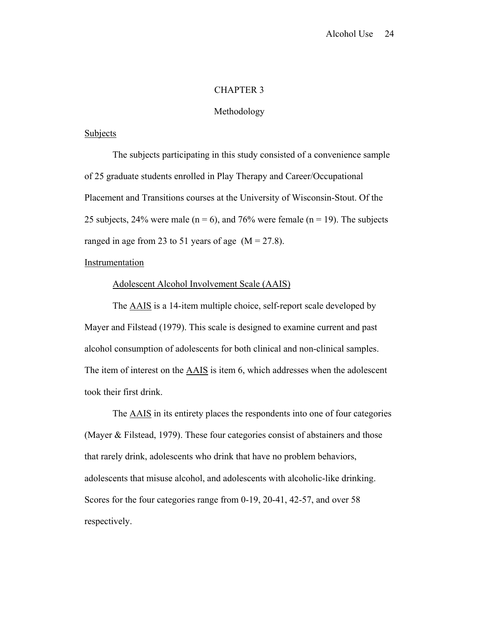# CHAPTER 3

#### Methodology

### Subjects

 The subjects participating in this study consisted of a convenience sample of 25 graduate students enrolled in Play Therapy and Career/Occupational Placement and Transitions courses at the University of Wisconsin-Stout. Of the 25 subjects, 24% were male ( $n = 6$ ), and 76% were female ( $n = 19$ ). The subjects ranged in age from 23 to 51 years of age  $(M = 27.8)$ .

### Instrumentation

#### Adolescent Alcohol Involvement Scale (AAIS)

 The AAIS is a 14-item multiple choice, self-report scale developed by Mayer and Filstead (1979). This scale is designed to examine current and past alcohol consumption of adolescents for both clinical and non-clinical samples. The item of interest on the AAIS is item 6, which addresses when the adolescent took their first drink.

 The AAIS in its entirety places the respondents into one of four categories (Mayer & Filstead, 1979). These four categories consist of abstainers and those that rarely drink, adolescents who drink that have no problem behaviors, adolescents that misuse alcohol, and adolescents with alcoholic-like drinking. Scores for the four categories range from 0-19, 20-41, 42-57, and over 58 respectively.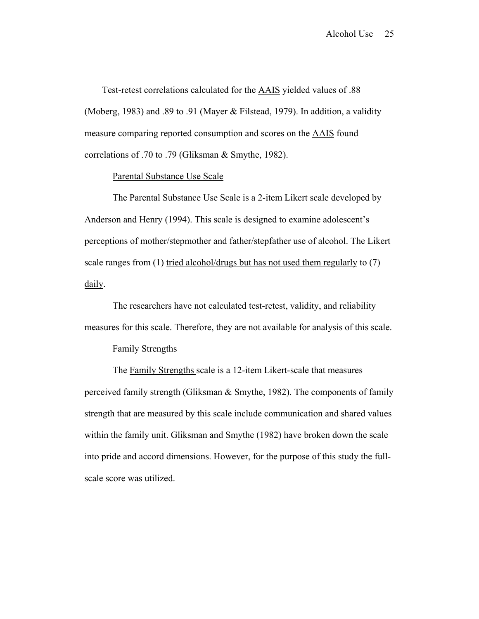Test-retest correlations calculated for the AAIS yielded values of .88 (Moberg, 1983) and .89 to .91 (Mayer & Filstead, 1979). In addition, a validity measure comparing reported consumption and scores on the AAIS found correlations of .70 to .79 (Gliksman & Smythe, 1982).

# Parental Substance Use Scale

 The Parental Substance Use Scale is a 2-item Likert scale developed by Anderson and Henry (1994). This scale is designed to examine adolescent's perceptions of mother/stepmother and father/stepfather use of alcohol. The Likert scale ranges from (1) tried alcohol/drugs but has not used them regularly to (7) daily.

 The researchers have not calculated test-retest, validity, and reliability measures for this scale. Therefore, they are not available for analysis of this scale.

#### Family Strengths

 The Family Strengths scale is a 12-item Likert-scale that measures perceived family strength (Gliksman & Smythe, 1982). The components of family strength that are measured by this scale include communication and shared values within the family unit. Gliksman and Smythe (1982) have broken down the scale into pride and accord dimensions. However, for the purpose of this study the fullscale score was utilized.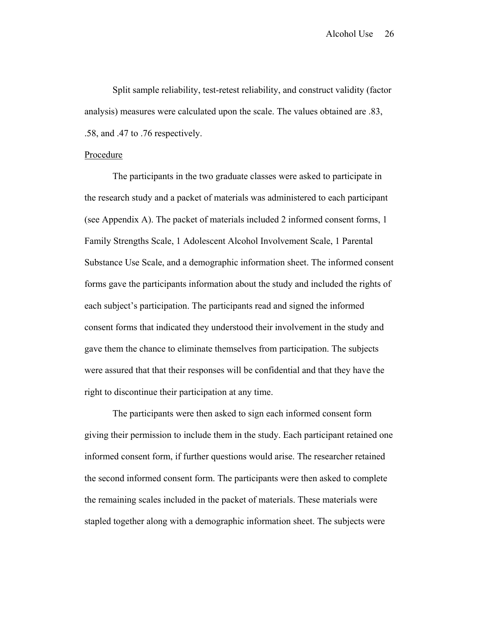Split sample reliability, test-retest reliability, and construct validity (factor analysis) measures were calculated upon the scale. The values obtained are .83, .58, and .47 to .76 respectively.

#### Procedure

 The participants in the two graduate classes were asked to participate in the research study and a packet of materials was administered to each participant (see Appendix A). The packet of materials included 2 informed consent forms, 1 Family Strengths Scale, 1 Adolescent Alcohol Involvement Scale, 1 Parental Substance Use Scale, and a demographic information sheet. The informed consent forms gave the participants information about the study and included the rights of each subject's participation. The participants read and signed the informed consent forms that indicated they understood their involvement in the study and gave them the chance to eliminate themselves from participation. The subjects were assured that that their responses will be confidential and that they have the right to discontinue their participation at any time.

 The participants were then asked to sign each informed consent form giving their permission to include them in the study. Each participant retained one informed consent form, if further questions would arise. The researcher retained the second informed consent form. The participants were then asked to complete the remaining scales included in the packet of materials. These materials were stapled together along with a demographic information sheet. The subjects were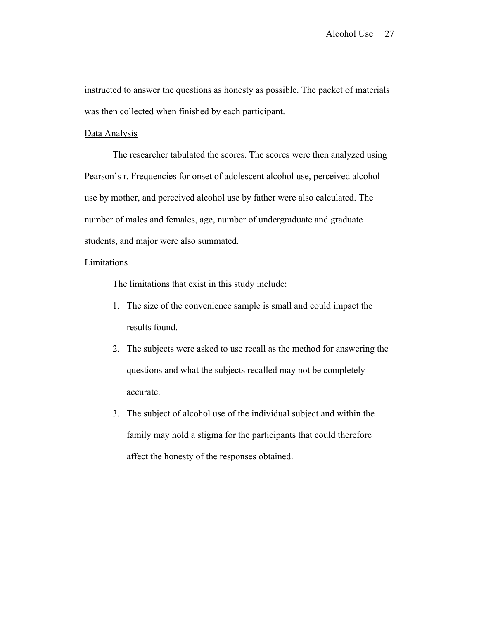instructed to answer the questions as honesty as possible. The packet of materials was then collected when finished by each participant.

#### Data Analysis

 The researcher tabulated the scores. The scores were then analyzed using Pearson's r. Frequencies for onset of adolescent alcohol use, perceived alcohol use by mother, and perceived alcohol use by father were also calculated. The number of males and females, age, number of undergraduate and graduate students, and major were also summated.

### Limitations

The limitations that exist in this study include:

- 1. The size of the convenience sample is small and could impact the results found.
- 2. The subjects were asked to use recall as the method for answering the questions and what the subjects recalled may not be completely accurate.
- 3. The subject of alcohol use of the individual subject and within the family may hold a stigma for the participants that could therefore affect the honesty of the responses obtained.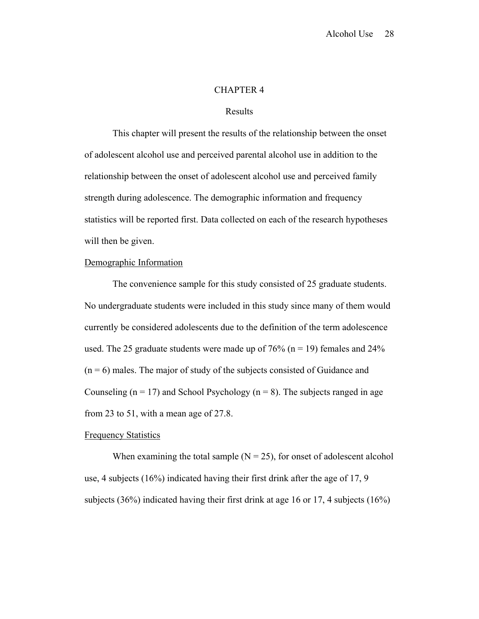### CHAPTER 4

### Results

 This chapter will present the results of the relationship between the onset of adolescent alcohol use and perceived parental alcohol use in addition to the relationship between the onset of adolescent alcohol use and perceived family strength during adolescence. The demographic information and frequency statistics will be reported first. Data collected on each of the research hypotheses will then be given.

#### Demographic Information

 The convenience sample for this study consisted of 25 graduate students. No undergraduate students were included in this study since many of them would currently be considered adolescents due to the definition of the term adolescence used. The 25 graduate students were made up of  $76\%$  (n = 19) females and  $24\%$  $(n = 6)$  males. The major of study of the subjects consisted of Guidance and Counseling ( $n = 17$ ) and School Psychology ( $n = 8$ ). The subjects ranged in age from 23 to 51, with a mean age of 27.8.

#### Frequency Statistics

When examining the total sample  $(N = 25)$ , for onset of adolescent alcohol use, 4 subjects (16%) indicated having their first drink after the age of 17, 9 subjects (36%) indicated having their first drink at age 16 or 17, 4 subjects (16%)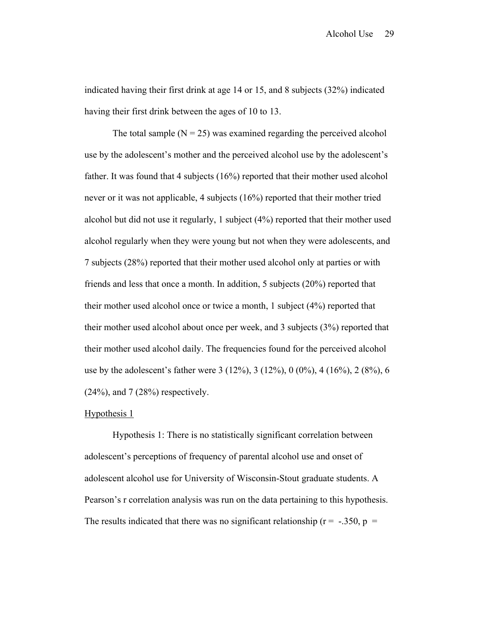indicated having their first drink at age 14 or 15, and 8 subjects (32%) indicated having their first drink between the ages of 10 to 13.

The total sample  $(N = 25)$  was examined regarding the perceived alcohol use by the adolescent's mother and the perceived alcohol use by the adolescent's father. It was found that 4 subjects (16%) reported that their mother used alcohol never or it was not applicable, 4 subjects (16%) reported that their mother tried alcohol but did not use it regularly, 1 subject (4%) reported that their mother used alcohol regularly when they were young but not when they were adolescents, and 7 subjects (28%) reported that their mother used alcohol only at parties or with friends and less that once a month. In addition, 5 subjects (20%) reported that their mother used alcohol once or twice a month, 1 subject (4%) reported that their mother used alcohol about once per week, and 3 subjects (3%) reported that their mother used alcohol daily. The frequencies found for the perceived alcohol use by the adolescent's father were 3 (12%), 3 (12%), 0 (0%), 4 (16%), 2 (8%), 6  $(24%)$ , and  $7(28%)$  respectively.

# Hypothesis 1

 Hypothesis 1: There is no statistically significant correlation between adolescent's perceptions of frequency of parental alcohol use and onset of adolescent alcohol use for University of Wisconsin-Stout graduate students. A Pearson's r correlation analysis was run on the data pertaining to this hypothesis. The results indicated that there was no significant relationship ( $r = -.350$ ,  $p =$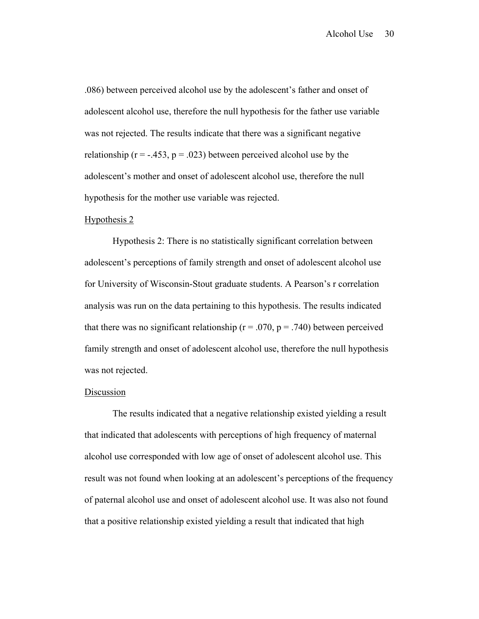.086) between perceived alcohol use by the adolescent's father and onset of adolescent alcohol use, therefore the null hypothesis for the father use variable was not rejected. The results indicate that there was a significant negative relationship ( $r = -.453$ ,  $p = .023$ ) between perceived alcohol use by the adolescent's mother and onset of adolescent alcohol use, therefore the null hypothesis for the mother use variable was rejected.

#### Hypothesis 2

 Hypothesis 2: There is no statistically significant correlation between adolescent's perceptions of family strength and onset of adolescent alcohol use for University of Wisconsin-Stout graduate students. A Pearson's r correlation analysis was run on the data pertaining to this hypothesis. The results indicated that there was no significant relationship ( $r = .070$ ,  $p = .740$ ) between perceived family strength and onset of adolescent alcohol use, therefore the null hypothesis was not rejected.

#### Discussion

The results indicated that a negative relationship existed yielding a result that indicated that adolescents with perceptions of high frequency of maternal alcohol use corresponded with low age of onset of adolescent alcohol use. This result was not found when looking at an adolescent's perceptions of the frequency of paternal alcohol use and onset of adolescent alcohol use. It was also not found that a positive relationship existed yielding a result that indicated that high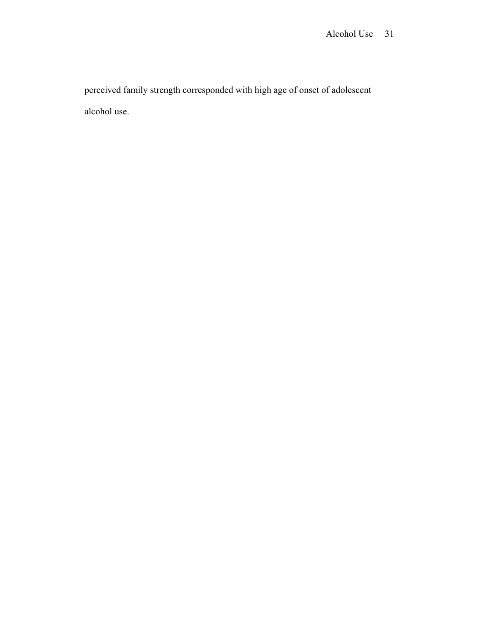perceived family strength corresponded with high age of onset of adolescent alcohol use.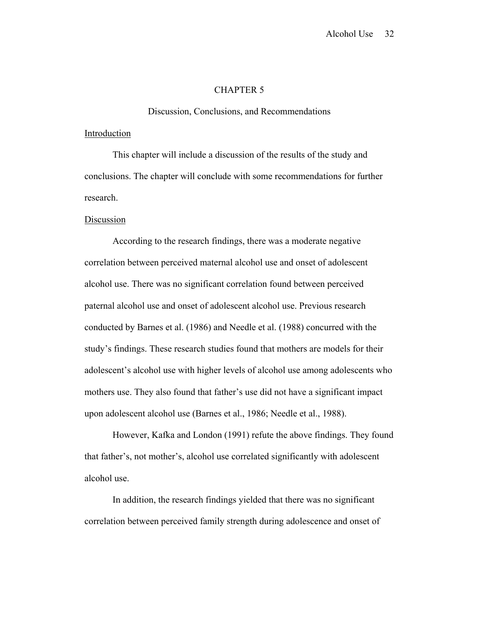# CHAPTER 5

Discussion, Conclusions, and Recommendations

#### Introduction

 This chapter will include a discussion of the results of the study and conclusions. The chapter will conclude with some recommendations for further research.

### Discussion

 According to the research findings, there was a moderate negative correlation between perceived maternal alcohol use and onset of adolescent alcohol use. There was no significant correlation found between perceived paternal alcohol use and onset of adolescent alcohol use. Previous research conducted by Barnes et al. (1986) and Needle et al. (1988) concurred with the study's findings. These research studies found that mothers are models for their adolescent's alcohol use with higher levels of alcohol use among adolescents who mothers use. They also found that father's use did not have a significant impact upon adolescent alcohol use (Barnes et al., 1986; Needle et al., 1988).

 However, Kafka and London (1991) refute the above findings. They found that father's, not mother's, alcohol use correlated significantly with adolescent alcohol use.

 In addition, the research findings yielded that there was no significant correlation between perceived family strength during adolescence and onset of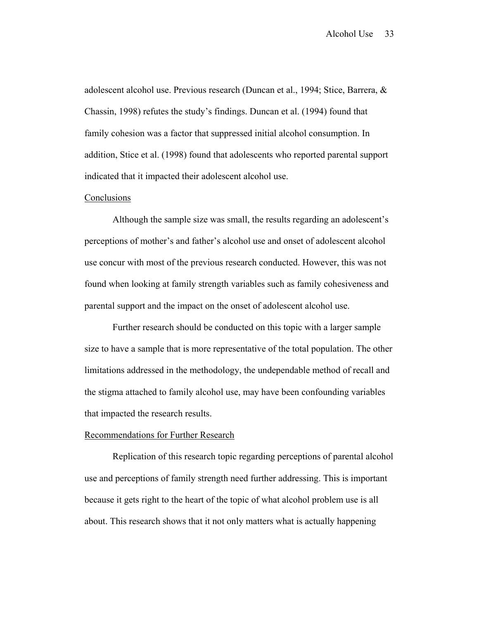adolescent alcohol use. Previous research (Duncan et al., 1994; Stice, Barrera, & Chassin, 1998) refutes the study's findings. Duncan et al. (1994) found that family cohesion was a factor that suppressed initial alcohol consumption. In addition, Stice et al. (1998) found that adolescents who reported parental support indicated that it impacted their adolescent alcohol use.

#### Conclusions

 Although the sample size was small, the results regarding an adolescent's perceptions of mother's and father's alcohol use and onset of adolescent alcohol use concur with most of the previous research conducted. However, this was not found when looking at family strength variables such as family cohesiveness and parental support and the impact on the onset of adolescent alcohol use.

 Further research should be conducted on this topic with a larger sample size to have a sample that is more representative of the total population. The other limitations addressed in the methodology, the undependable method of recall and the stigma attached to family alcohol use, may have been confounding variables that impacted the research results.

#### Recommendations for Further Research

 Replication of this research topic regarding perceptions of parental alcohol use and perceptions of family strength need further addressing. This is important because it gets right to the heart of the topic of what alcohol problem use is all about. This research shows that it not only matters what is actually happening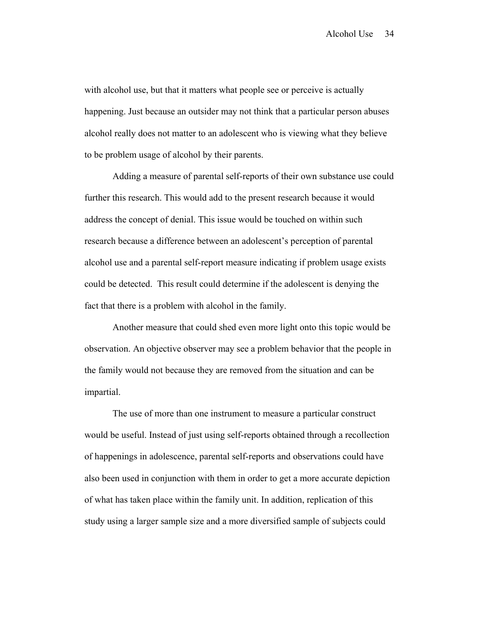with alcohol use, but that it matters what people see or perceive is actually happening. Just because an outsider may not think that a particular person abuses alcohol really does not matter to an adolescent who is viewing what they believe to be problem usage of alcohol by their parents.

 Adding a measure of parental self-reports of their own substance use could further this research. This would add to the present research because it would address the concept of denial. This issue would be touched on within such research because a difference between an adolescent's perception of parental alcohol use and a parental self-report measure indicating if problem usage exists could be detected. This result could determine if the adolescent is denying the fact that there is a problem with alcohol in the family.

 Another measure that could shed even more light onto this topic would be observation. An objective observer may see a problem behavior that the people in the family would not because they are removed from the situation and can be impartial.

 The use of more than one instrument to measure a particular construct would be useful. Instead of just using self-reports obtained through a recollection of happenings in adolescence, parental self-reports and observations could have also been used in conjunction with them in order to get a more accurate depiction of what has taken place within the family unit. In addition, replication of this study using a larger sample size and a more diversified sample of subjects could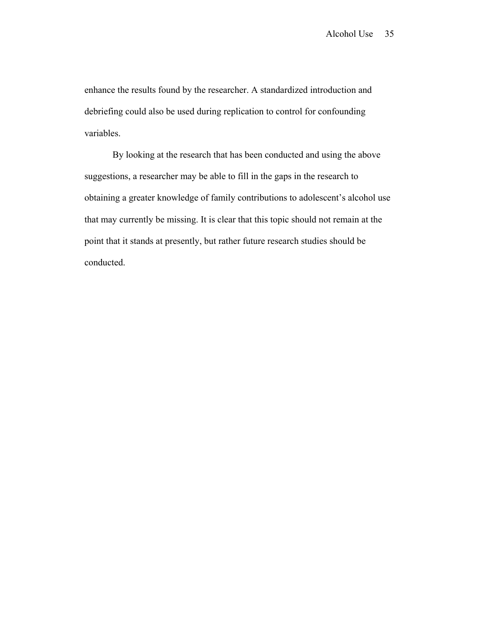enhance the results found by the researcher. A standardized introduction and debriefing could also be used during replication to control for confounding variables.

 By looking at the research that has been conducted and using the above suggestions, a researcher may be able to fill in the gaps in the research to obtaining a greater knowledge of family contributions to adolescent's alcohol use that may currently be missing. It is clear that this topic should not remain at the point that it stands at presently, but rather future research studies should be conducted.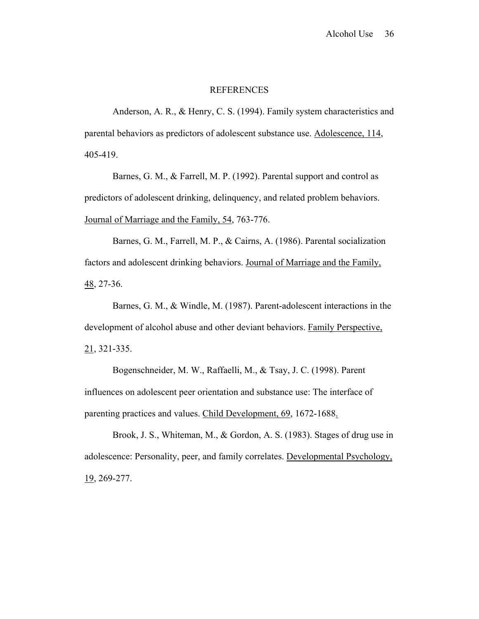#### REFERENCES

 Anderson, A. R., & Henry, C. S. (1994). Family system characteristics and parental behaviors as predictors of adolescent substance use. Adolescence, 114, 405-419.

 Barnes, G. M., & Farrell, M. P. (1992). Parental support and control as predictors of adolescent drinking, delinquency, and related problem behaviors. Journal of Marriage and the Family, 54, 763-776.

 Barnes, G. M., Farrell, M. P., & Cairns, A. (1986). Parental socialization factors and adolescent drinking behaviors. Journal of Marriage and the Family, 48, 27-36.

 Barnes, G. M., & Windle, M. (1987). Parent-adolescent interactions in the development of alcohol abuse and other deviant behaviors. Family Perspective, 21, 321-335.

 Bogenschneider, M. W., Raffaelli, M., & Tsay, J. C. (1998). Parent influences on adolescent peer orientation and substance use: The interface of parenting practices and values. Child Development, 69, 1672-1688.

 Brook, J. S., Whiteman, M., & Gordon, A. S. (1983). Stages of drug use in adolescence: Personality, peer, and family correlates. Developmental Psychology, 19, 269-277.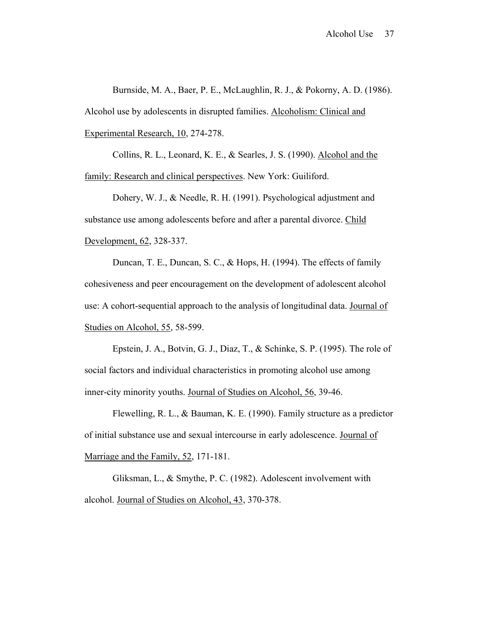Burnside, M. A., Baer, P. E., McLaughlin, R. J., & Pokorny, A. D. (1986). Alcohol use by adolescents in disrupted families. Alcoholism: Clinical and Experimental Research, 10, 274-278.

 Collins, R. L., Leonard, K. E., & Searles, J. S. (1990). Alcohol and the family: Research and clinical perspectives. New York: Guiliford.

 Dohery, W. J., & Needle, R. H. (1991). Psychological adjustment and substance use among adolescents before and after a parental divorce. Child Development, 62, 328-337.

 Duncan, T. E., Duncan, S. C., & Hops, H. (1994). The effects of family cohesiveness and peer encouragement on the development of adolescent alcohol use: A cohort-sequential approach to the analysis of longitudinal data. Journal of Studies on Alcohol, 55, 58-599.

 Epstein, J. A., Botvin, G. J., Diaz, T., & Schinke, S. P. (1995). The role of social factors and individual characteristics in promoting alcohol use among inner-city minority youths. Journal of Studies on Alcohol, 56, 39-46.

 Flewelling, R. L., & Bauman, K. E. (1990). Family structure as a predictor of initial substance use and sexual intercourse in early adolescence. Journal of Marriage and the Family, 52, 171-181.

 Gliksman, L., & Smythe, P. C. (1982). Adolescent involvement with alcohol. Journal of Studies on Alcohol, 43, 370-378.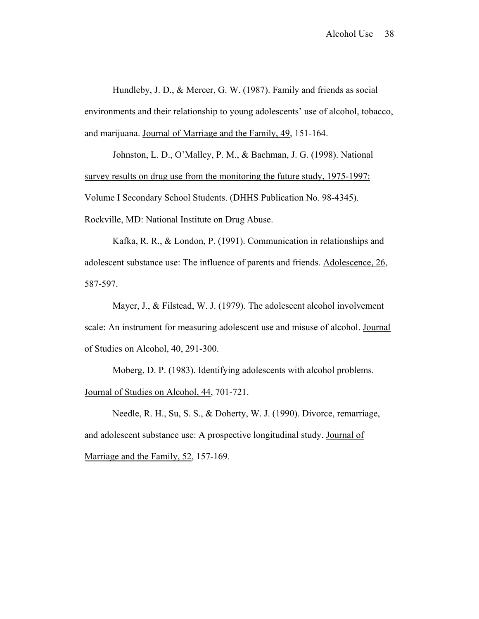Hundleby, J. D., & Mercer, G. W. (1987). Family and friends as social environments and their relationship to young adolescents' use of alcohol, tobacco, and marijuana. Journal of Marriage and the Family, 49, 151-164.

 Johnston, L. D., O'Malley, P. M., & Bachman, J. G. (1998). National survey results on drug use from the monitoring the future study, 1975-1997: Volume I Secondary School Students. (DHHS Publication No. 98-4345). Rockville, MD: National Institute on Drug Abuse.

 Kafka, R. R., & London, P. (1991). Communication in relationships and adolescent substance use: The influence of parents and friends. Adolescence, 26, 587-597.

 Mayer, J., & Filstead, W. J. (1979). The adolescent alcohol involvement scale: An instrument for measuring adolescent use and misuse of alcohol. Journal of Studies on Alcohol, 40, 291-300.

 Moberg, D. P. (1983). Identifying adolescents with alcohol problems. Journal of Studies on Alcohol, 44, 701-721.

 Needle, R. H., Su, S. S., & Doherty, W. J. (1990). Divorce, remarriage, and adolescent substance use: A prospective longitudinal study. Journal of Marriage and the Family, 52, 157-169.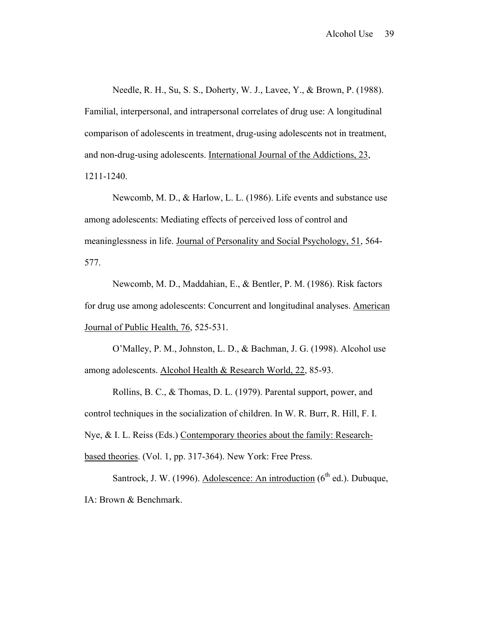Needle, R. H., Su, S. S., Doherty, W. J., Lavee, Y., & Brown, P. (1988). Familial, interpersonal, and intrapersonal correlates of drug use: A longitudinal comparison of adolescents in treatment, drug-using adolescents not in treatment, and non-drug-using adolescents. International Journal of the Addictions, 23, 1211-1240.

 Newcomb, M. D., & Harlow, L. L. (1986). Life events and substance use among adolescents: Mediating effects of perceived loss of control and meaninglessness in life. Journal of Personality and Social Psychology, 51, 564- 577.

 Newcomb, M. D., Maddahian, E., & Bentler, P. M. (1986). Risk factors for drug use among adolescents: Concurrent and longitudinal analyses. American Journal of Public Health, 76, 525-531.

 O'Malley, P. M., Johnston, L. D., & Bachman, J. G. (1998). Alcohol use among adolescents. Alcohol Health & Research World, 22, 85-93.

 Rollins, B. C., & Thomas, D. L. (1979). Parental support, power, and control techniques in the socialization of children. In W. R. Burr, R. Hill, F. I. Nye, & I. L. Reiss (Eds.) Contemporary theories about the family: Researchbased theories. (Vol. 1, pp. 317-364). New York: Free Press.

Santrock, J. W. (1996). Adolescence: An introduction  $(6<sup>th</sup>$  ed.). Dubuque, IA: Brown & Benchmark.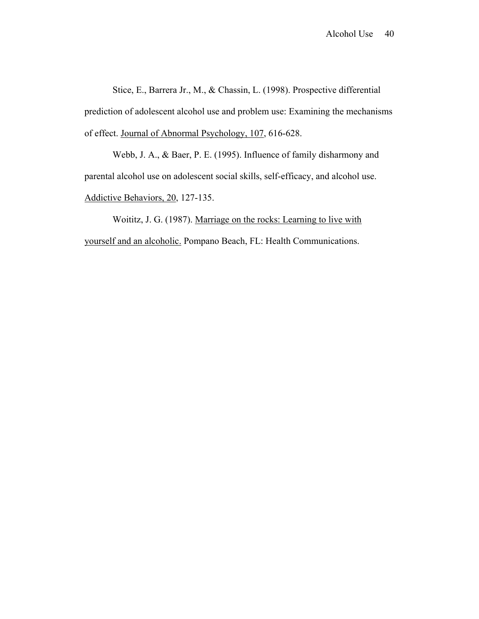Stice, E., Barrera Jr., M., & Chassin, L. (1998). Prospective differential prediction of adolescent alcohol use and problem use: Examining the mechanisms of effect. Journal of Abnormal Psychology, 107, 616-628.

 Webb, J. A., & Baer, P. E. (1995). Influence of family disharmony and parental alcohol use on adolescent social skills, self-efficacy, and alcohol use. Addictive Behaviors, 20, 127-135.

 Woititz, J. G. (1987). Marriage on the rocks: Learning to live with yourself and an alcoholic. Pompano Beach, FL: Health Communications.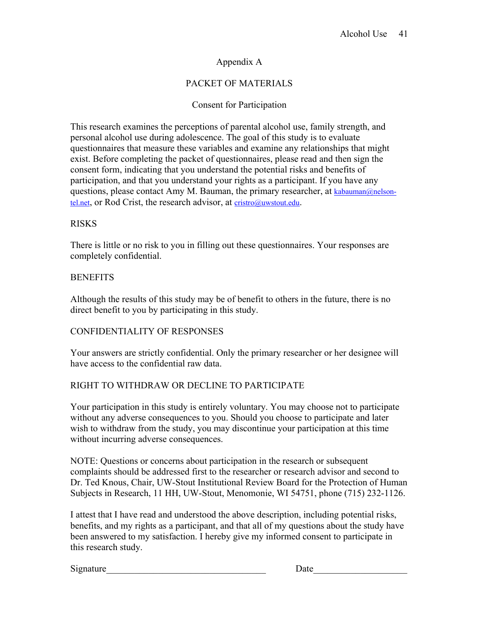# Appendix A

# PACKET OF MATERIALS

# Consent for Participation

This research examines the perceptions of parental alcohol use, family strength, and personal alcohol use during adolescence. The goal of this study is to evaluate questionnaires that measure these variables and examine any relationships that might exist. Before completing the packet of questionnaires, please read and then sign the consent form, indicating that you understand the potential risks and benefits of participation, and that you understand your rights as a participant. If you have any questions, please contact Amy M. Bauman, the primary researcher, at [kabauman@nelson](mailto:kabauman@nelson-tel.net)[tel.net,](mailto:kabauman@nelson-tel.net) or Rod Crist, the research advisor, at [cristro@uwstout.edu](mailto:cristr@uwstout.edu).

# RISKS

There is little or no risk to you in filling out these questionnaires. Your responses are completely confidential.

# **BENEFITS**

Although the results of this study may be of benefit to others in the future, there is no direct benefit to you by participating in this study.

# CONFIDENTIALITY OF RESPONSES

Your answers are strictly confidential. Only the primary researcher or her designee will have access to the confidential raw data.

# RIGHT TO WITHDRAW OR DECLINE TO PARTICIPATE

Your participation in this study is entirely voluntary. You may choose not to participate without any adverse consequences to you. Should you choose to participate and later wish to withdraw from the study, you may discontinue your participation at this time without incurring adverse consequences.

NOTE: Questions or concerns about participation in the research or subsequent complaints should be addressed first to the researcher or research advisor and second to Dr. Ted Knous, Chair, UW-Stout Institutional Review Board for the Protection of Human Subjects in Research, 11 HH, UW-Stout, Menomonie, WI 54751, phone (715) 232-1126.

I attest that I have read and understood the above description, including potential risks, benefits, and my rights as a participant, and that all of my questions about the study have been answered to my satisfaction. I hereby give my informed consent to participate in this research study.

Signature Date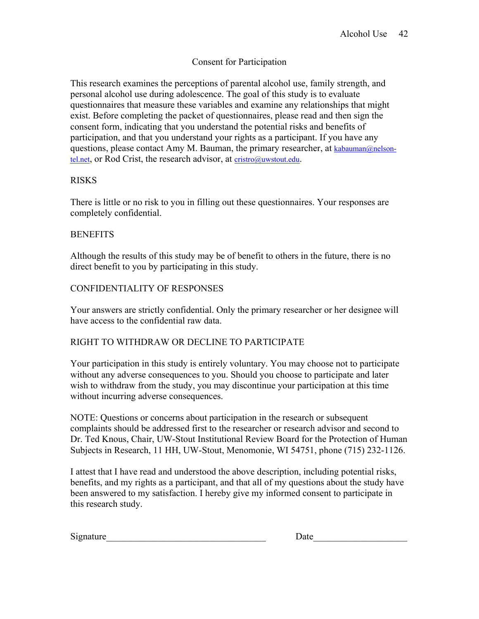# Consent for Participation

This research examines the perceptions of parental alcohol use, family strength, and personal alcohol use during adolescence. The goal of this study is to evaluate questionnaires that measure these variables and examine any relationships that might exist. Before completing the packet of questionnaires, please read and then sign the consent form, indicating that you understand the potential risks and benefits of participation, and that you understand your rights as a participant. If you have any questions, please contact Amy M. Bauman, the primary researcher, at [kabauman@nelson](mailto:kabauman@nelson-tel.net)[tel.net,](mailto:kabauman@nelson-tel.net) or Rod Crist, the research advisor, at [cristro@uwstout.edu](mailto:cristr@uwstout.edu).

# RISKS

There is little or no risk to you in filling out these questionnaires. Your responses are completely confidential.

# **BENEFITS**

Although the results of this study may be of benefit to others in the future, there is no direct benefit to you by participating in this study.

# CONFIDENTIALITY OF RESPONSES

Your answers are strictly confidential. Only the primary researcher or her designee will have access to the confidential raw data.

# RIGHT TO WITHDRAW OR DECLINE TO PARTICIPATE

Your participation in this study is entirely voluntary. You may choose not to participate without any adverse consequences to you. Should you choose to participate and later wish to withdraw from the study, you may discontinue your participation at this time without incurring adverse consequences.

NOTE: Questions or concerns about participation in the research or subsequent complaints should be addressed first to the researcher or research advisor and second to Dr. Ted Knous, Chair, UW-Stout Institutional Review Board for the Protection of Human Subjects in Research, 11 HH, UW-Stout, Menomonie, WI 54751, phone (715) 232-1126.

I attest that I have read and understood the above description, including potential risks, benefits, and my rights as a participant, and that all of my questions about the study have been answered to my satisfaction. I hereby give my informed consent to participate in this research study.

| Signature | Jate |
|-----------|------|
|-----------|------|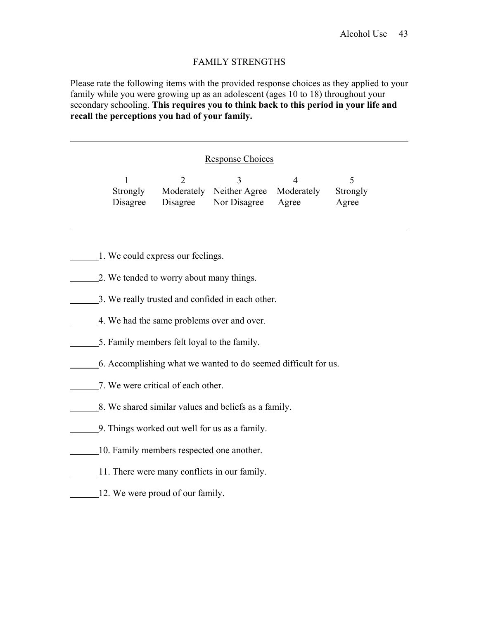# FAMILY STRENGTHS

Please rate the following items with the provided response choices as they applied to your family while you were growing up as an adolescent (ages 10 to 18) throughout your secondary schooling. **This requires you to think back to this period in your life and recall the perceptions you had of your family.** 

# Response Choices

|  | Strongly Moderately Neither Agree Moderately | Strongly |
|--|----------------------------------------------|----------|
|  | Disagree Disagree Nor Disagree Agree         | Agree    |

1. We could express our feelings.

 $\overline{a}$ 

 $\overline{a}$ 

- 2. We tended to worry about many things.
- 3. We really trusted and confided in each other.
- 4. We had the same problems over and over.
- 5. Family members felt loyal to the family.
- 6. Accomplishing what we wanted to do seemed difficult for us.
- **7.** We were critical of each other.
- 8. We shared similar values and beliefs as a family.
- 9. Things worked out well for us as a family.
- 10. Family members respected one another.
- 11. There were many conflicts in our family.
- 12. We were proud of our family.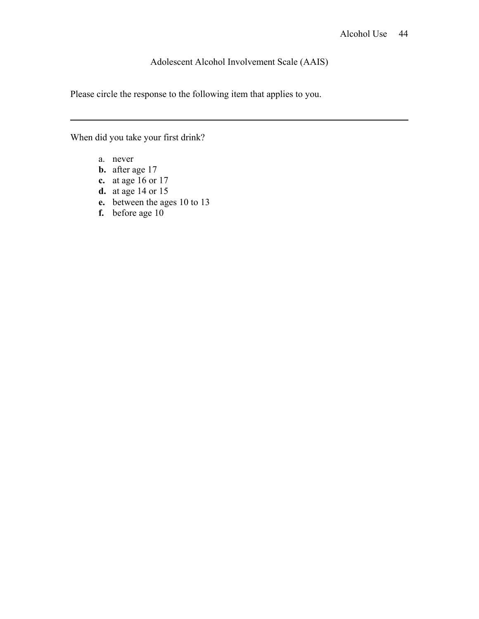# Adolescent Alcohol Involvement Scale (AAIS)

Please circle the response to the following item that applies to you.

When did you take your first drink?

a. never

 $\overline{a}$ 

- **b.** after age 17
- **c.** at age 16 or 17
- **d.** at age 14 or 15
- **e.** between the ages 10 to 13
- **f.** before age 10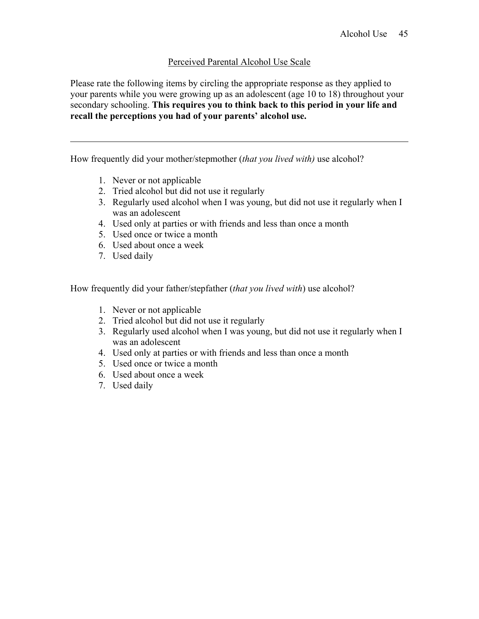# Perceived Parental Alcohol Use Scale

Please rate the following items by circling the appropriate response as they applied to your parents while you were growing up as an adolescent (age 10 to 18) throughout your secondary schooling. **This requires you to think back to this period in your life and recall the perceptions you had of your parents' alcohol use.** 

How frequently did your mother/stepmother (*that you lived with)* use alcohol?

- 1. Never or not applicable
- 2. Tried alcohol but did not use it regularly
- 3. Regularly used alcohol when I was young, but did not use it regularly when I was an adolescent
- 4. Used only at parties or with friends and less than once a month
- 5. Used once or twice a month
- 6. Used about once a week
- 7. Used daily

 $\overline{a}$ 

How frequently did your father/stepfather (*that you lived with*) use alcohol?

- 1. Never or not applicable
- 2. Tried alcohol but did not use it regularly
- 3. Regularly used alcohol when I was young, but did not use it regularly when I was an adolescent
- 4. Used only at parties or with friends and less than once a month
- 5. Used once or twice a month
- 6. Used about once a week
- 7. Used daily